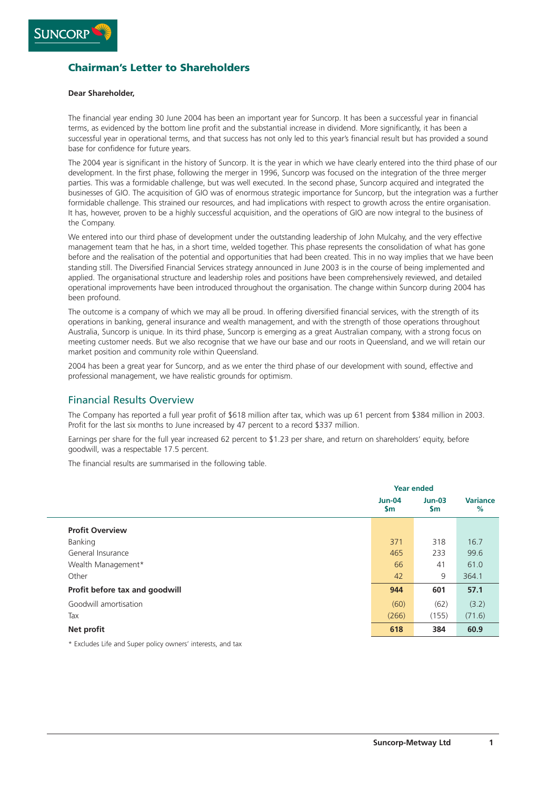

# **Chairman's Letter to Shareholders**

#### **Dear Shareholder,**

The financial year ending 30 June 2004 has been an important year for Suncorp. It has been a successful year in financial terms, as evidenced by the bottom line profit and the substantial increase in dividend. More significantly, it has been a successful year in operational terms, and that success has not only led to this year's financial result but has provided a sound base for confidence for future years.

The 2004 year is significant in the history of Suncorp. It is the year in which we have clearly entered into the third phase of our development. In the first phase, following the merger in 1996, Suncorp was focused on the integration of the three merger parties. This was a formidable challenge, but was well executed. In the second phase, Suncorp acquired and integrated the businesses of GIO. The acquisition of GIO was of enormous strategic importance for Suncorp, but the integration was a further formidable challenge. This strained our resources, and had implications with respect to growth across the entire organisation. It has, however, proven to be a highly successful acquisition, and the operations of GIO are now integral to the business of the Company.

We entered into our third phase of development under the outstanding leadership of John Mulcahy, and the very effective management team that he has, in a short time, welded together. This phase represents the consolidation of what has gone before and the realisation of the potential and opportunities that had been created. This in no way implies that we have been standing still. The Diversified Financial Services strategy announced in June 2003 is in the course of being implemented and applied. The organisational structure and leadership roles and positions have been comprehensively reviewed, and detailed operational improvements have been introduced throughout the organisation. The change within Suncorp during 2004 has been profound.

The outcome is a company of which we may all be proud. In offering diversified financial services, with the strength of its operations in banking, general insurance and wealth management, and with the strength of those operations throughout Australia, Suncorp is unique. In its third phase, Suncorp is emerging as a great Australian company, with a strong focus on meeting customer needs. But we also recognise that we have our base and our roots in Queensland, and we will retain our market position and community role within Queensland.

2004 has been a great year for Suncorp, and as we enter the third phase of our development with sound, effective and professional management, we have realistic grounds for optimism.

## Financial Results Overview

The Company has reported a full year profit of \$618 million after tax, which was up 61 percent from \$384 million in 2003. Profit for the last six months to June increased by 47 percent to a record \$337 million.

Earnings per share for the full year increased 62 percent to \$1.23 per share, and return on shareholders' equity, before goodwill, was a respectable 17.5 percent.

The financial results are summarised in the following table.

|                                | <b>Year ended</b>              |                 |                      |
|--------------------------------|--------------------------------|-----------------|----------------------|
|                                | <b>Jun-04</b><br>$\mathsf{Sm}$ | $Jun-03$<br>\$m | <b>Variance</b><br>% |
| <b>Profit Overview</b>         |                                |                 |                      |
| Banking                        | 371                            | 318             | 16.7                 |
| General Insurance              | 465                            | 233             | 99.6                 |
| Wealth Management*             | 66                             | 41              | 61.0                 |
| Other                          | 42                             | 9               | 364.1                |
| Profit before tax and goodwill | 944                            | 601             | 57.1                 |
| Goodwill amortisation          | (60)                           | (62)            | (3.2)                |
| Tax                            | (266)                          | (155)           | (71.6)               |
| Net profit                     | 618                            | 384             | 60.9                 |

\* Excludes Life and Super policy owners' interests, and tax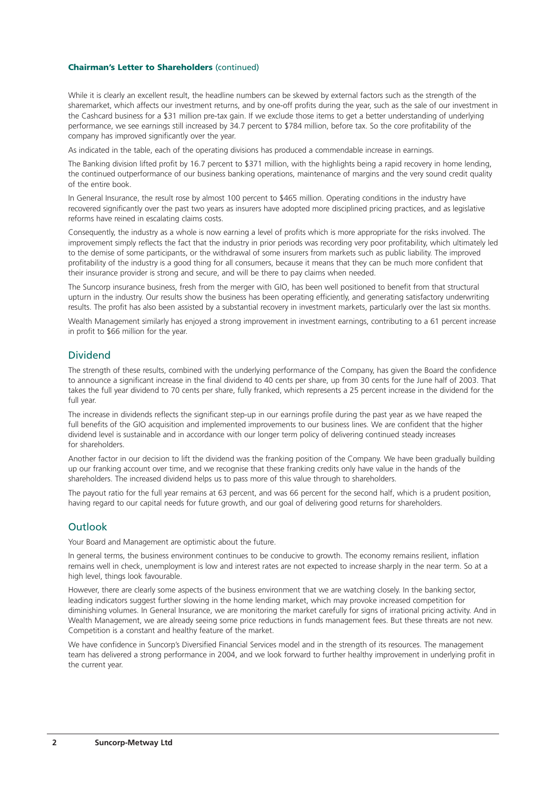#### **Chairman's Letter to Shareholders** (continued)

While it is clearly an excellent result, the headline numbers can be skewed by external factors such as the strength of the sharemarket, which affects our investment returns, and by one-off profits during the year, such as the sale of our investment in the Cashcard business for a \$31 million pre-tax gain. If we exclude those items to get a better understanding of underlying performance, we see earnings still increased by 34.7 percent to \$784 million, before tax. So the core profitability of the company has improved significantly over the year.

As indicated in the table, each of the operating divisions has produced a commendable increase in earnings.

The Banking division lifted profit by 16.7 percent to \$371 million, with the highlights being a rapid recovery in home lending, the continued outperformance of our business banking operations, maintenance of margins and the very sound credit quality of the entire book.

In General Insurance, the result rose by almost 100 percent to \$465 million. Operating conditions in the industry have recovered significantly over the past two years as insurers have adopted more disciplined pricing practices, and as legislative reforms have reined in escalating claims costs.

Consequently, the industry as a whole is now earning a level of profits which is more appropriate for the risks involved. The improvement simply reflects the fact that the industry in prior periods was recording very poor profitability, which ultimately led to the demise of some participants, or the withdrawal of some insurers from markets such as public liability. The improved profitability of the industry is a good thing for all consumers, because it means that they can be much more confident that their insurance provider is strong and secure, and will be there to pay claims when needed.

The Suncorp insurance business, fresh from the merger with GIO, has been well positioned to benefit from that structural upturn in the industry. Our results show the business has been operating efficiently, and generating satisfactory underwriting results. The profit has also been assisted by a substantial recovery in investment markets, particularly over the last six months.

Wealth Management similarly has enjoyed a strong improvement in investment earnings, contributing to a 61 percent increase in profit to \$66 million for the year.

### Dividend

The strength of these results, combined with the underlying performance of the Company, has given the Board the confidence to announce a significant increase in the final dividend to 40 cents per share, up from 30 cents for the June half of 2003. That takes the full year dividend to 70 cents per share, fully franked, which represents a 25 percent increase in the dividend for the full year.

The increase in dividends reflects the significant step-up in our earnings profile during the past year as we have reaped the full benefits of the GIO acquisition and implemented improvements to our business lines. We are confident that the higher dividend level is sustainable and in accordance with our longer term policy of delivering continued steady increases for shareholders.

Another factor in our decision to lift the dividend was the franking position of the Company. We have been gradually building up our franking account over time, and we recognise that these franking credits only have value in the hands of the shareholders. The increased dividend helps us to pass more of this value through to shareholders.

The payout ratio for the full year remains at 63 percent, and was 66 percent for the second half, which is a prudent position, having regard to our capital needs for future growth, and our goal of delivering good returns for shareholders.

### Outlook

Your Board and Management are optimistic about the future.

In general terms, the business environment continues to be conducive to growth. The economy remains resilient, inflation remains well in check, unemployment is low and interest rates are not expected to increase sharply in the near term. So at a high level, things look favourable.

However, there are clearly some aspects of the business environment that we are watching closely. In the banking sector, leading indicators suggest further slowing in the home lending market, which may provoke increased competition for diminishing volumes. In General Insurance, we are monitoring the market carefully for signs of irrational pricing activity. And in Wealth Management, we are already seeing some price reductions in funds management fees. But these threats are not new. Competition is a constant and healthy feature of the market.

We have confidence in Suncorp's Diversified Financial Services model and in the strength of its resources. The management team has delivered a strong performance in 2004, and we look forward to further healthy improvement in underlying profit in the current year.